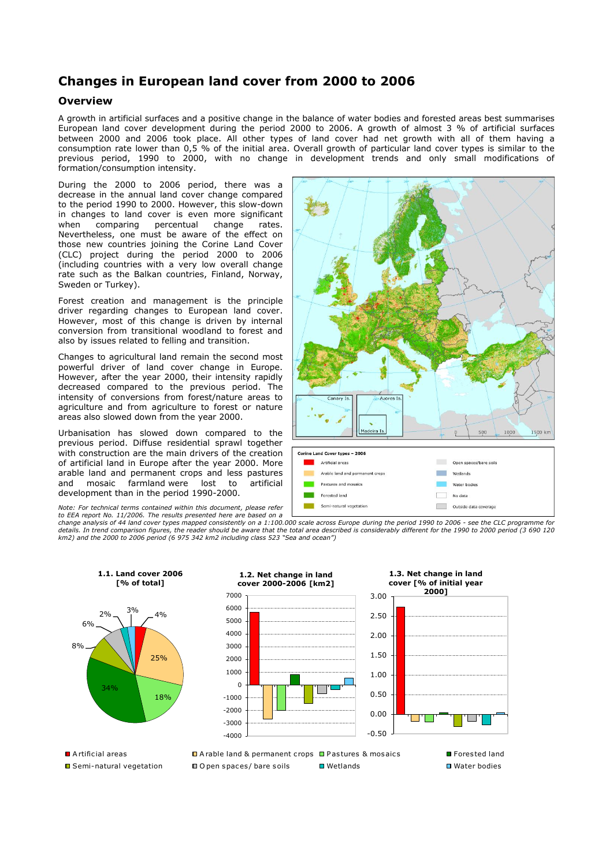## **Changes in European land cover from 2000 to 2006**

## **Overview**

A growth in artificial surfaces and a positive change in the balance of water bodies and forested areas best summarises European land cover development during the period 2000 to 2006. A growth of almost 3 % of artificial surfaces between 2000 and 2006 took place. All other types of land cover had net growth with all of them having a consumption rate lower than  $0.5\%$  of the initial area. Overall growth of particular land cover types is similar to the previous period, 1990 to 2000, with no change in development trends and only small modifications of formation/consumption intensity.

During the 2000 to 2006 period, there was a decrease in the annual land cover change compared to the period 1990 to 2000. However, this slow-down in changes to land cover is even more significant when comparing percentual change rates. Nevertheless, one must be aware of the effect on those new countries joining the Corine Land Cover (CLC) project during the period 2000 to 2006 (including countries with a very low overall change rate such as the Balkan countries, Finland, Norway, Sweden or Turkey).

Forest creation and management is the principle driver regarding changes to European land cover. However, most of this change is driven by internal conversion from transitional woodland to forest and also by issues related to felling and transition.

Changes to agricultural land remain the second most powerful driver of land cover change in Europe. However, after the year 2000, their intensity rapidly decreased compared to the previous period. The intensity of conversions from forest/nature areas to agriculture and from agriculture to forest or nature areas also slowed down from the year 2000.

Urbanisation has slowed down compared to the previous period. Diffuse residential sprawl together with construction are the main drivers of the creation of artificial land in Europe after the year 2000. More arable land and permanent crops and less pastures and mosaic farmland were lost to artificial development than in the period 1990-2000.

For technical terms contained within this document, please refer

*to EEA report No. 11/2006. The results presented here are based on a change analysis of 44 land cover types mapped consistently on a 1:100.000 scale across Europe during the period 1990 to 2006 - see the CLC programme for*  details. In trend comparison figures, the reader should be aware that the total area described is considerably different for the 1990 to 2000 period (3 690 120<br>km2) and the 2000 to 2006 period (6 975 342 km2 including clas



k. 1500 km deira I Corine Land Cover types - 2006 Open spaces/bare soils Artificial areas Arable land and permanent crop **College** Wetlands Pactures and mosaics Mator hadios Forested land No data Semi-natural vegetation Outside data coverage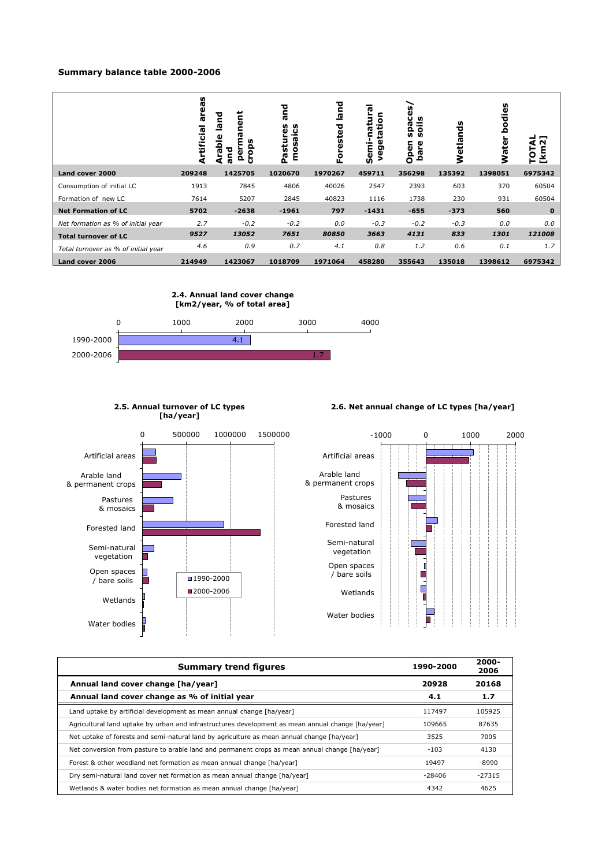### **Summary balance table 2000-2006**

|                                     | areas<br>Artificial | ទី<br>land<br>c<br>ក្ខ<br>ខ<br>ω<br>ă<br>ops<br>ø<br>ο<br>ö<br>Ω<br>o | τ<br>Œ<br>უ<br>ω<br>ū<br>۰<br>ፎ<br>ε | land<br>ested<br>۰<br>цĭ | ក្ខ<br>ë<br>Semi-<br>ρəν | Ū<br>≝<br><b>r</b><br><u>ິດ</u><br>ဌာ<br>Open<br>ω<br>£<br>آھ<br>آ | nds<br>Wetla | U)<br>ق<br>ъ<br>ğ<br><b>Water</b> | −<br>N<br>⋖<br>īот<br><u>[km</u> |
|-------------------------------------|---------------------|-----------------------------------------------------------------------|--------------------------------------|--------------------------|--------------------------|--------------------------------------------------------------------|--------------|-----------------------------------|----------------------------------|
| Land cover 2000                     | 209248              | 1425705                                                               | 1020670                              | 1970267                  | 459711                   | 356298                                                             | 135392       | 1398051                           | 6975342                          |
| Consumption of initial LC           | 1913                | 7845                                                                  | 4806                                 | 40026                    | 2547                     | 2393                                                               | 603          | 370                               | 60504                            |
| Formation of new LC                 | 7614                | 5207                                                                  | 2845                                 | 40823                    | 1116                     | 1738                                                               | 230          | 931                               | 60504                            |
| <b>Net Formation of LC</b>          | 5702                | $-2638$                                                               | $-1961$                              | 797                      | $-1431$                  | $-655$                                                             | $-373$       | 560                               | $\mathbf 0$                      |
| Net formation as % of initial year  | 2.7                 | $-0.2$                                                                | $-0.2$                               | 0.0                      | $-0.3$                   | $-0.2$                                                             | $-0.3$       | 0.0                               | 0.0                              |
| <b>Total turnover of LC</b>         | 9527                | 13052                                                                 | 7651                                 | 80850                    | 3663                     | 4131                                                               | 833          | 1301                              | 121008                           |
| Total turnover as % of initial year | 4.6                 | 0.9                                                                   | 0.7                                  | 4.1                      | 0.8                      | 1.2                                                                | 0.6          | 0.1                               | 1.7                              |
| Land cover 2006                     | 214949              | 1423067                                                               | 1018709                              | 1971064                  | 458280                   | 355643                                                             | 135018       | 1398612                           | 6975342                          |



0 500000 1000000 1500000

■1990-2000 2000-2006

**2.5. Annual turnover of LC types [ha/year]**

Artificial areas

Pastures & mosaics Forested land Semi-natural vegetation Open spaces / bare soils

Wetlands

Water bodies

Arable land & permanent crops

### **2.6. Net annual change of LC types [ha/year]**



| <b>Summary trend figures</b>                                                                      | 1990-2000 | $2000 -$<br>2006 |
|---------------------------------------------------------------------------------------------------|-----------|------------------|
| Annual land cover change [ha/year]                                                                | 20928     | 20168            |
| Annual land cover change as % of initial year                                                     | 4.1       | 1.7              |
| Land uptake by artificial development as mean annual change [ha/year]                             | 117497    | 105925           |
| Agricultural land uptake by urban and infrastructures development as mean annual change [ha/year] | 109665    | 87635            |
| Net uptake of forests and semi-natural land by agriculture as mean annual change [ha/year]        | 3525      | 7005             |
| Net conversion from pasture to arable land and permanent crops as mean annual change [ha/year]    | $-103$    | 4130             |
| Forest & other woodland net formation as mean annual change [ha/year]                             | 19497     | -8990            |
| Dry semi-natural land cover net formation as mean annual change [ha/year]                         | $-28406$  | $-27315$         |
| Wetlands & water bodies net formation as mean annual change [ha/year]                             | 4342      | 4625             |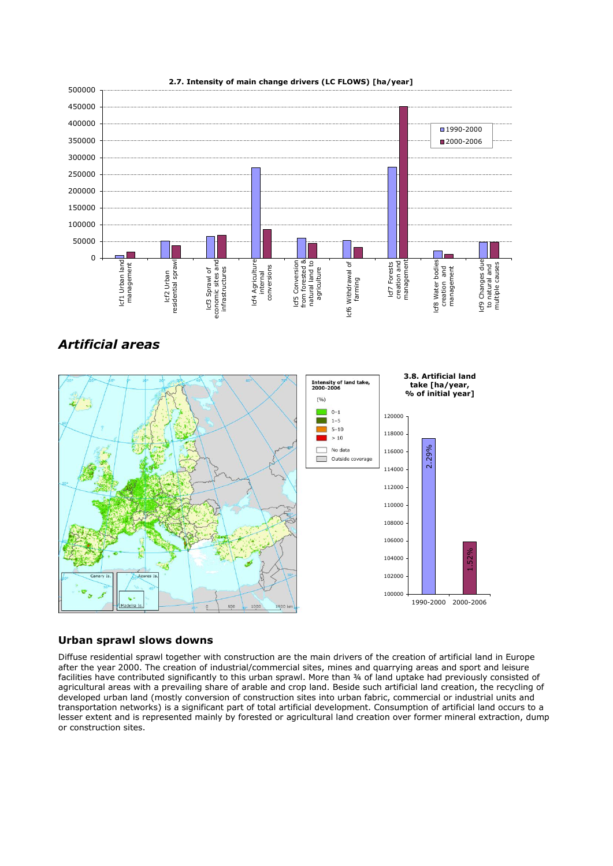

### **2.7. Intensity of main change drivers (LC FLOWS) [ha/year]**

# *Artificial areas*



### **Urban sprawl slows downs**

Diffuse residential sprawl together with construction are the main drivers of the creation of artificial land in Europe after the year 2000. The creation of industrial/commercial sites, mines and quarrying areas and sport and leisure facilities have contributed significantly to this urban sprawl. More than ¾ of land uptake had previously consisted of agricultural areas with a prevailing share of arable and crop land. Beside such artificial land creation, the recycling of developed urban land (mostly conversion of construction sites into urban fabric, commercial or industrial units and transportation networks) is a significant part of total artificial development. Consumption of artificial land occurs to a lesser extent and is represented mainly by forested or agricultural land creation over former mineral extraction, dump or construction sites.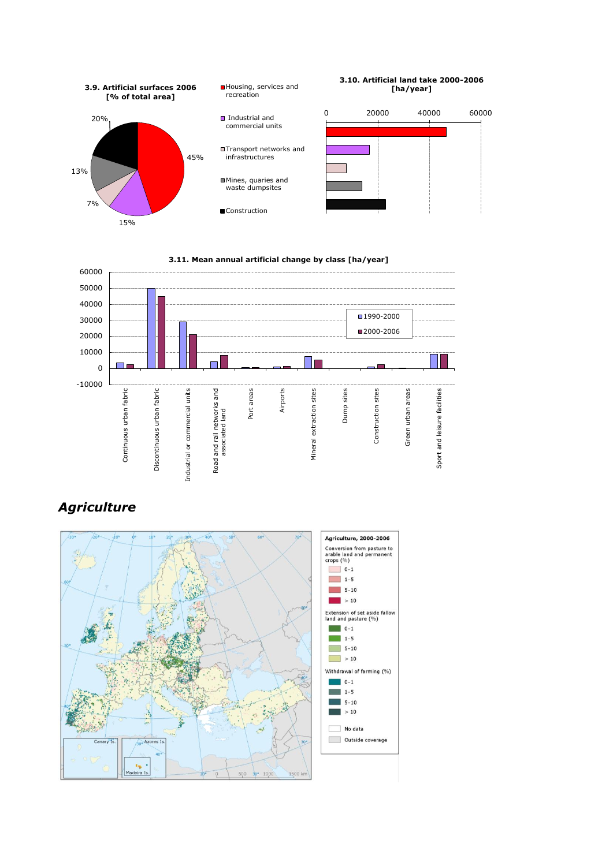





# *Agriculture*

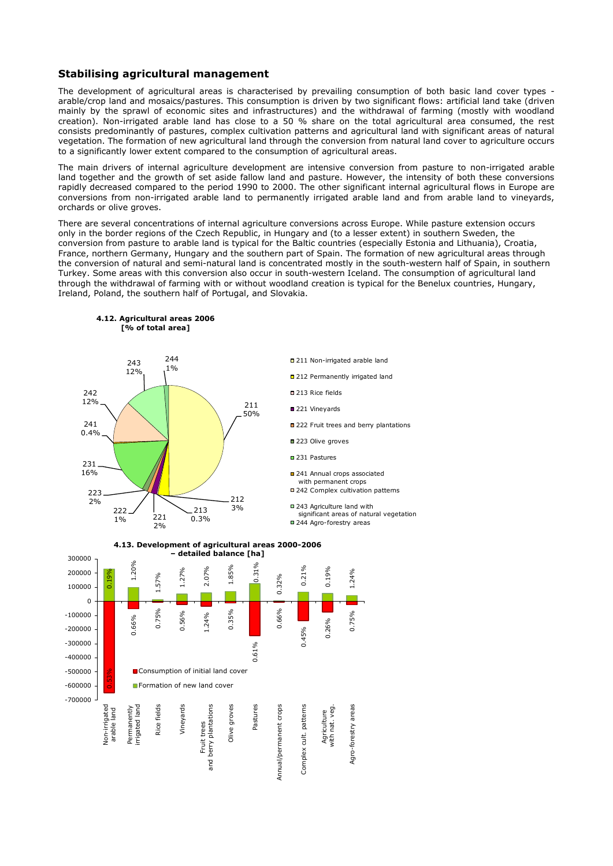### **Stabilising agricultural management**

The development of agricultural areas is characterised by prevailing consumption of both basic land cover types arable/crop land and mosaics/pastures. This consumption is driven by two significant flows: artificial land take (driven mainly by the sprawl of economic sites and infrastructures) and the withdrawal of farming (mostly with woodland creation). Non-irrigated arable land has close to a 50 % share on the total agricultural area consumed, the rest consists predominantly of pastures, complex cultivation patterns and agricultural land with significant areas of natural vegetation. The formation of new agricultural land through the conversion from natural land cover to agriculture occurs to a significantly lower extent compared to the consumption of agricultural areas.

The main drivers of internal agriculture development are intensive conversion from pasture to non-irrigated arable land together and the growth of set aside fallow land and pasture. However, the intensity of both these conversions rapidly decreased compared to the period 1990 to 2000. The other significant internal agricultural flows in Europe are conversions from non-irrigated arable land to permanently irrigated arable land and from arable land to vineyards, orchards or olive groves.

There are several concentrations of internal agriculture conversions across Europe. While pasture extension occurs only in the border regions of the Czech Republic, in Hungary and (to a lesser extent) in southern Sweden, the conversion from pasture to arable land is typical for the Baltic countries (especially Estonia and Lithuania), Croatia, France, northern Germany, Hungary and the southern part of Spain. The formation of new agricultural areas through the conversion of natural and semi-natural land is concentrated mostly in the south-western half of Spain, in southern Turkey. Some areas with this conversion also occur in south-western Iceland. The consumption of agricultural land through the withdrawal of farming with or without woodland creation is typical for the Benelux countries, Hungary, Ireland, Poland, the southern half of Portugal, and Slovakia.

> □ 211 Non-irrigated arable land □ 212 Permanently irrigated land

■ 222 Fruit trees and berry plantations

significant areas of natural vegetation

241 Annual crops associated with permanent crops ■ 242 Complex cultivation patterns ■ 243 Agriculture land with

■ 244 Agro-forestry areas

■ 213 Rice fields 221 Vineyards

■ 223 Olive groves ■ 231 Pastures



**4.12. Agricultural areas 2006 [% of total area]**

**4.13. Development of agricultural areas 2000-2006 – detailed balance [ha]**

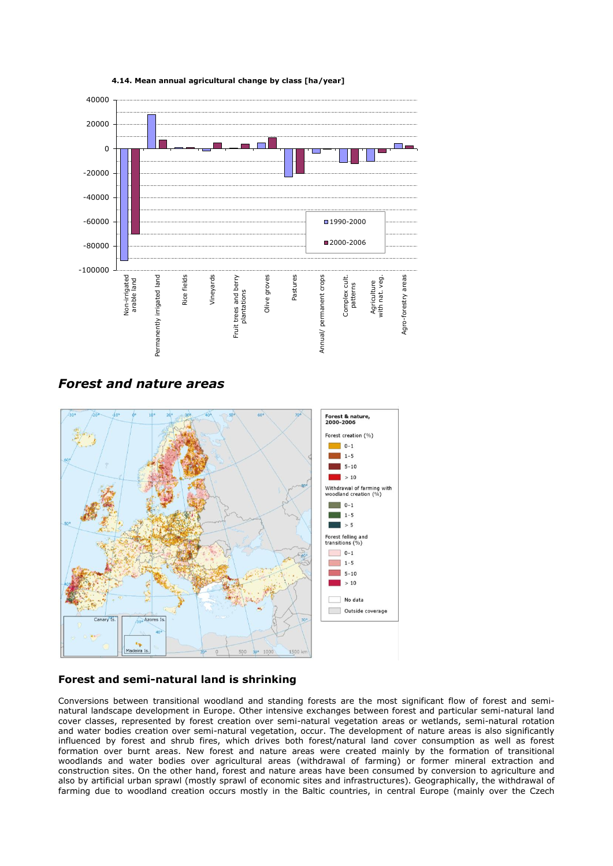

**4.14. Mean annual agricultural change by class [ha/year]** 

*Forest and nature areas*



## **Forest and semi-natural land is shrinking**

Conversions between transitional woodland and standing forests are the most significant flow of forest and seminatural landscape development in Europe. Other intensive exchanges between forest and particular semi-natural land cover classes, represented by forest creation over semi-natural vegetation areas or wetlands, semi-natural rotation and water bodies creation over semi-natural vegetation, occur. The development of nature areas is also significantly influenced by forest and shrub fires, which drives both forest/natural land cover consumption as well as forest formation over burnt areas. New forest and nature areas were created mainly by the formation of transitional woodlands and water bodies over agricultural areas (withdrawal of farming) or former mineral extraction and construction sites. On the other hand, forest and nature areas have been consumed by conversion to agriculture and also by artificial urban sprawl (mostly sprawl of economic sites and infrastructures). Geographically, the withdrawal of farming due to woodland creation occurs mostly in the Baltic countries, in central Europe (mainly over the Czech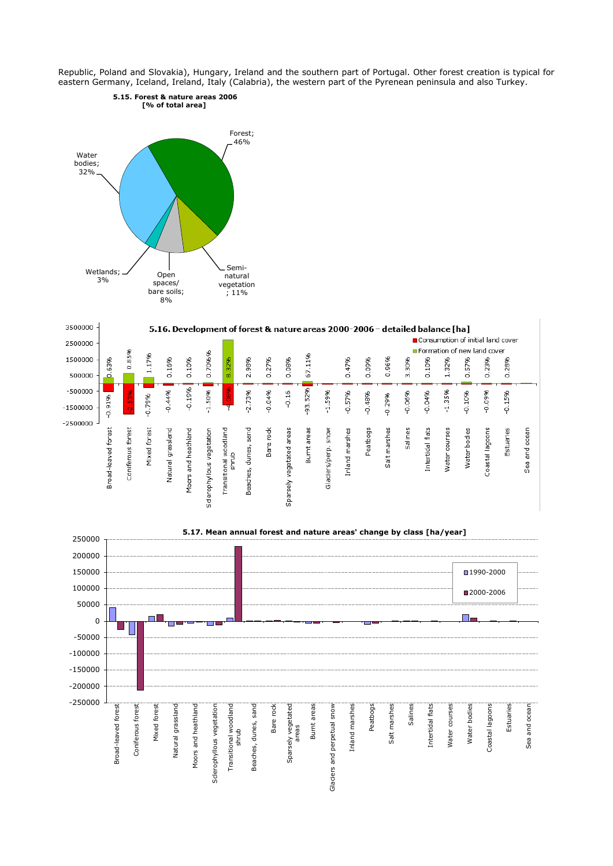Republic, Poland and Slovakia), Hungary, Ireland and the southern part of Portugal. Other forest creation is typical for eastern Germany, Iceland, Ireland, Italy (Calabria), the western part of the Pyrenean peninsula and also Turkey.





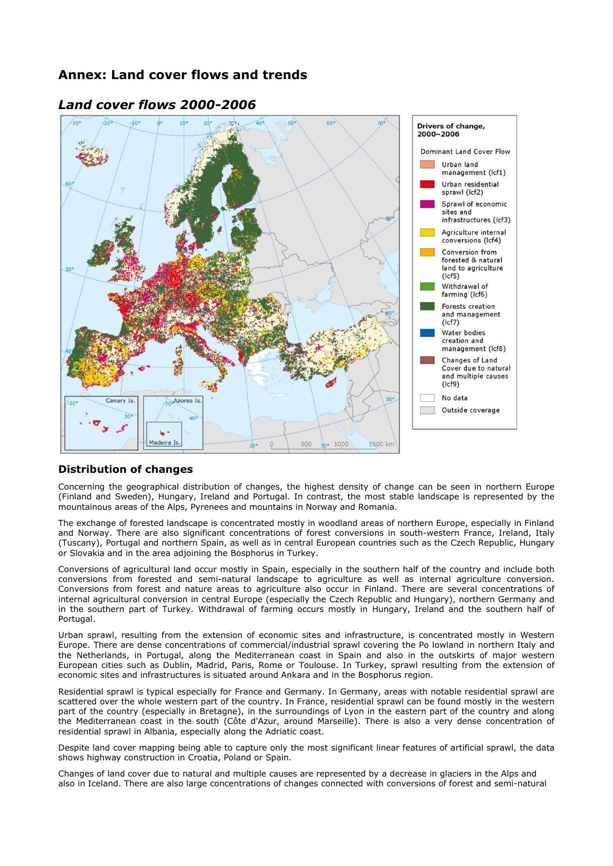## **Annex: Land cover flows and trends**



## *Land cover flows 2000-2006*

## **Distribution of changes**

Concerning the geographical distribution of changes, the highest density of change can be seen in northern Europe (Finland and Sweden), Hungary, Ireland and Portugal. In contrast, the most stable landscape is represented by the mountainous areas of the Alps, Pyrenees and mountains in Norway and Romania.

The exchange of forested landscape is concentrated mostly in woodland areas of northern Europe, especially in Finland and Norway. There are also significant concentrations of forest conversions in south-western France, Ireland, Italy (Tuscany), Portugal and northern Spain, as well as in central European countries such as the Czech Republic, Hungary or Slovakia and in the area adjoining the Bosphorus in Turkey.

Conversions of agricultural land occur mostly in Spain, especially in the southern half of the country and include both conversions from forested and semi-natural landscape to agriculture as well as internal agriculture conversion. Conversions from forest and nature areas to agriculture also occur in Finland. There are several concentrations of internal agricultural conversion in central Europe (especially the Czech Republic and Hungary), northern Germany and in the southern part of Turkey. Withdrawal of farming occurs mostly in Hungary, Ireland and the southern half of Portugal.

Urban sprawl, resulting from the extension of economic sites and infrastructure, is concentrated mostly in Western Europe. There are dense concentrations of commercial/industrial sprawl covering the Po lowland in northern Italy and the Netherlands, in Portugal, along the Mediterranean coast in Spain and also in the outskirts of major western European cities such as Dublin, Madrid, Paris, Rome or Toulouse. In Turkey, sprawl resulting from the extension of economic sites and infrastructures is situated around Ankara and in the Bosphorus region.

Residential sprawl is typical especially for France and Germany. In Germany, areas with notable residential sprawl are scattered over the whole western part of the country. In France, residential sprawl can be found mostly in the western part of the country (especially in Bretagne), in the surroundings of Lyon in the eastern part of the country and along the Mediterranean coast in the south (Côte d'Azur, around Marseille). There is also a very dense concentration of residential sprawl in Albania, especially along the Adriatic coast.

Despite land cover mapping being able to capture only the most significant linear features of artificial sprawl, the data shows highway construction in Croatia, Poland or Spain.

Changes of land cover due to natural and multiple causes are represented by a decrease in glaciers in the Alps and also in Iceland. There are also large concentrations of changes connected with conversions of forest and semi-natural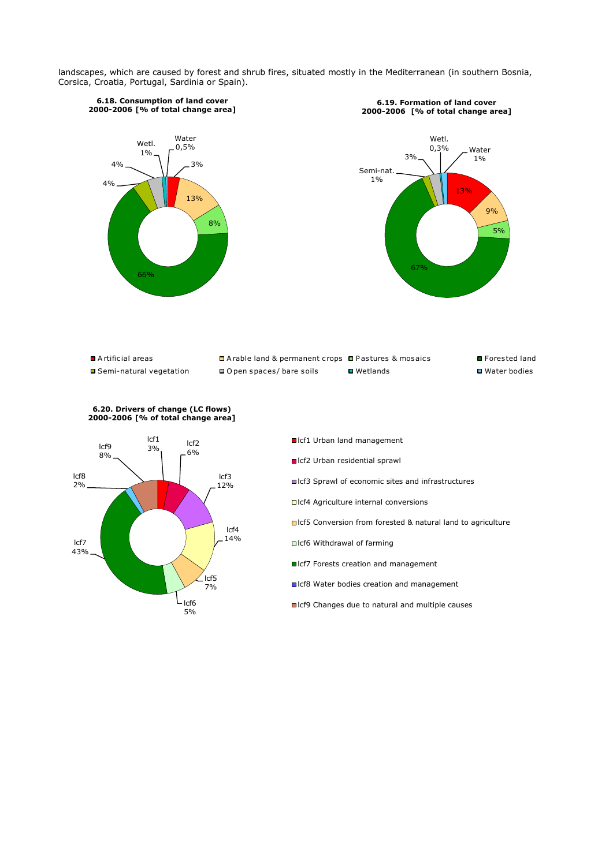landscapes, which are caused by forest and shrub fires, situated mostly in the Mediterranean (in southern Bosnia, Corsica, Croatia, Portugal, Sardinia or Spain).







- ■Icf1 Urban land management
- Icf2 Urban residential sprawl
- ■Icf3 Sprawl of economic sites and infrastructures
- □ Icf4 Agriculture internal conversions
- Icf5 Conversion from forested & natural land to agriculture
- □Icf6 Withdrawal of farming
- ■Icf7 Forests creation and management
- ■Icf8 Water bodies creation and management
- ■Icf9 Changes due to natural and multiple causes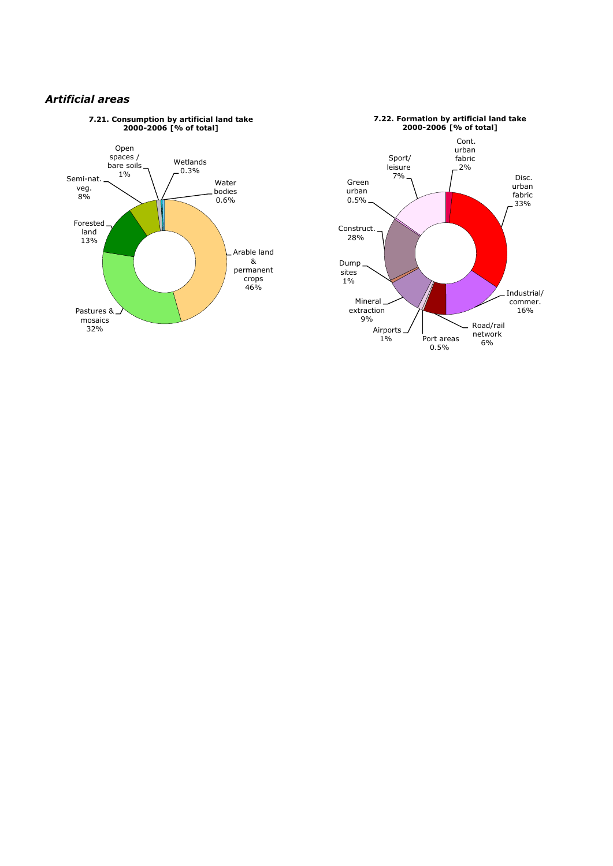## *Artificial areas*



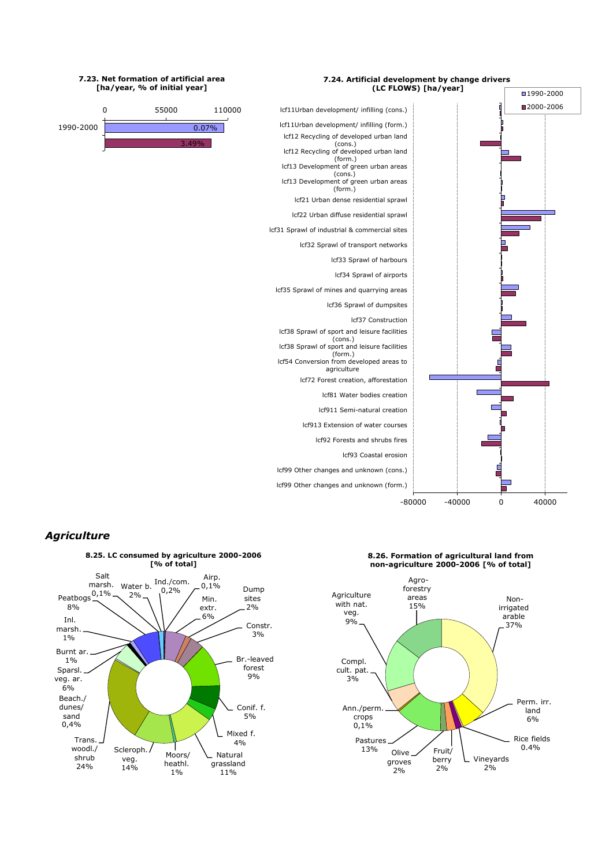

#### **7.23. Net formation of artificial area [ha/year, % of initial year]**



## *Agriculture*



**8.26. Formation of agricultural land from non-agriculture 2000-2006 [% of total]**

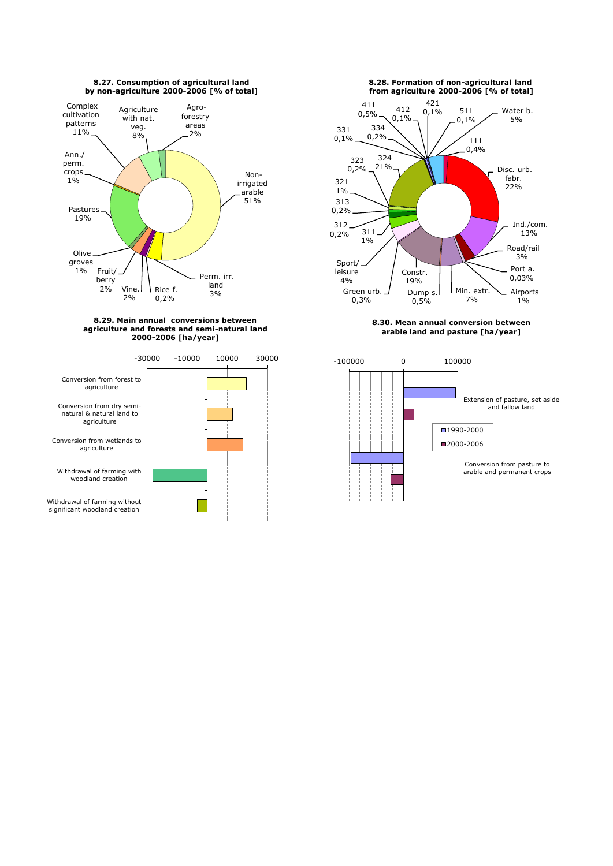







**8.30. Mean annual conversion between arable land and pasture [ha/year]**



**8.27. Consumption of agricultural land by non-agriculture 2000-2006 [% of total]**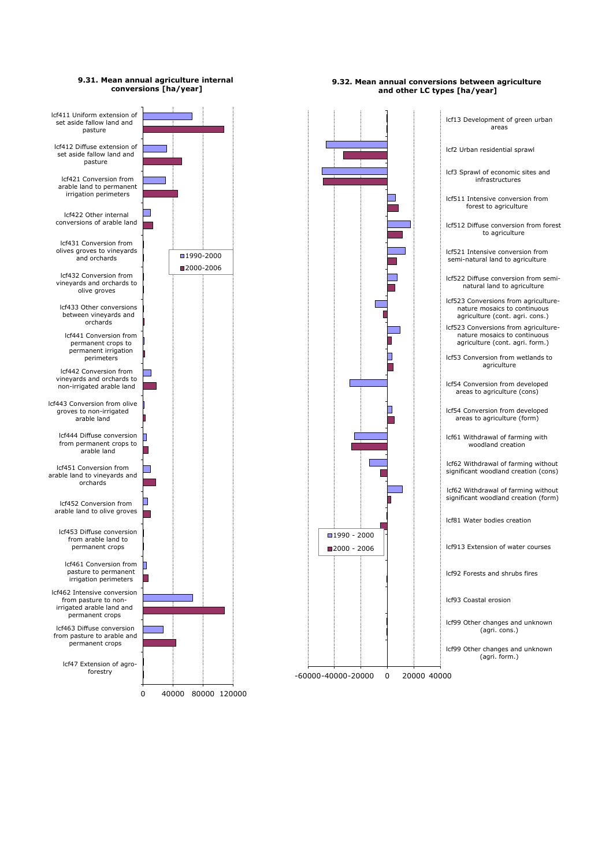

**9.32. Mean annual conversions between agriculture**

### **9.31. Mean annual agriculture internal conversions [ha/year]**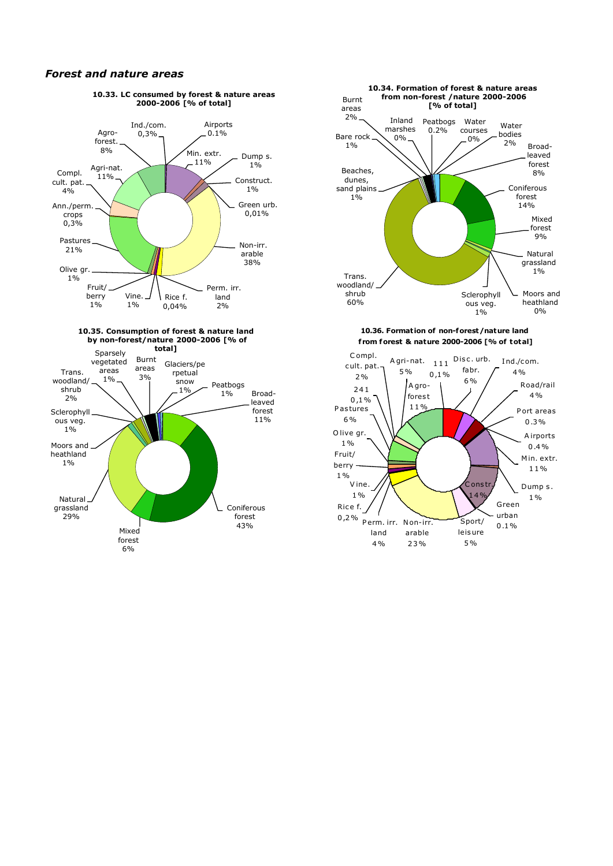### *Forest and nature areas*







 **f rom forest & nature 2000-2006 [% of total]**

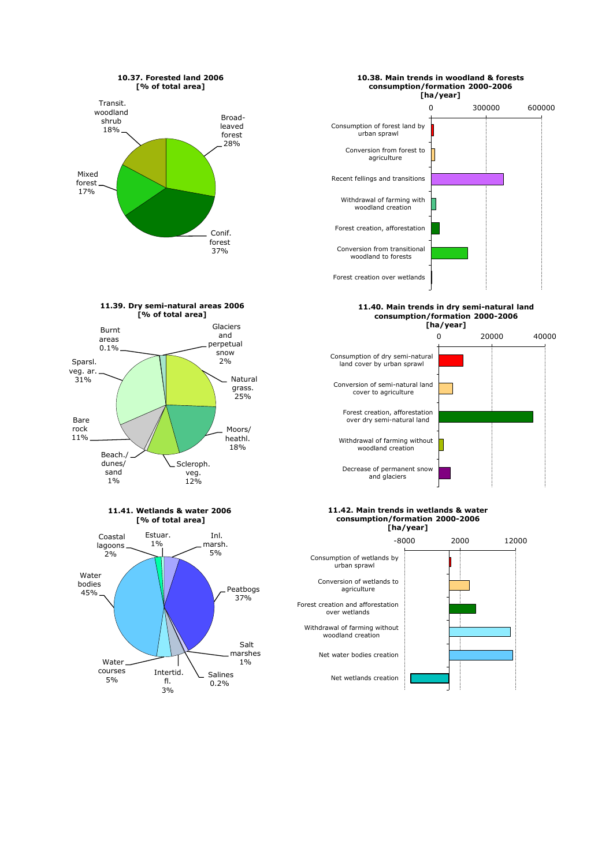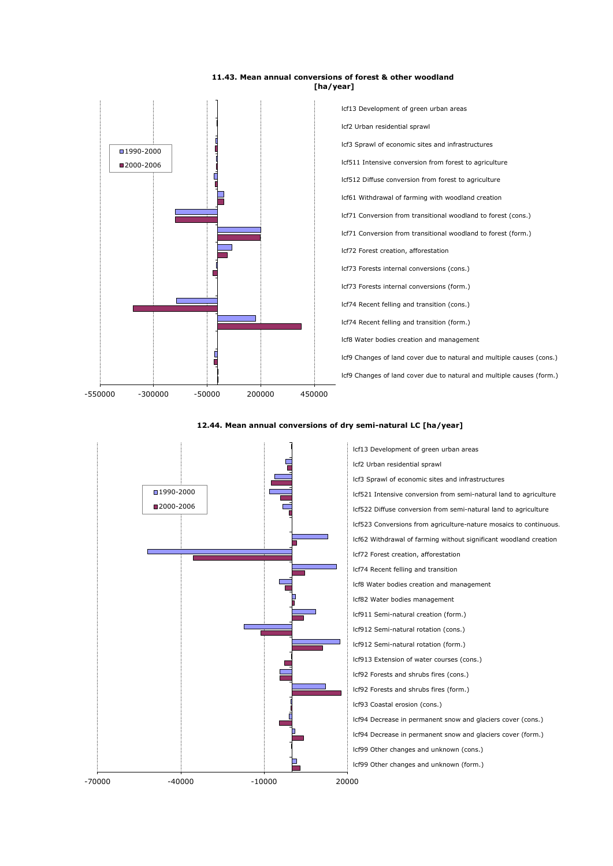#### **11.43. Mean annual conversions of forest & other woodland [ha/year]**